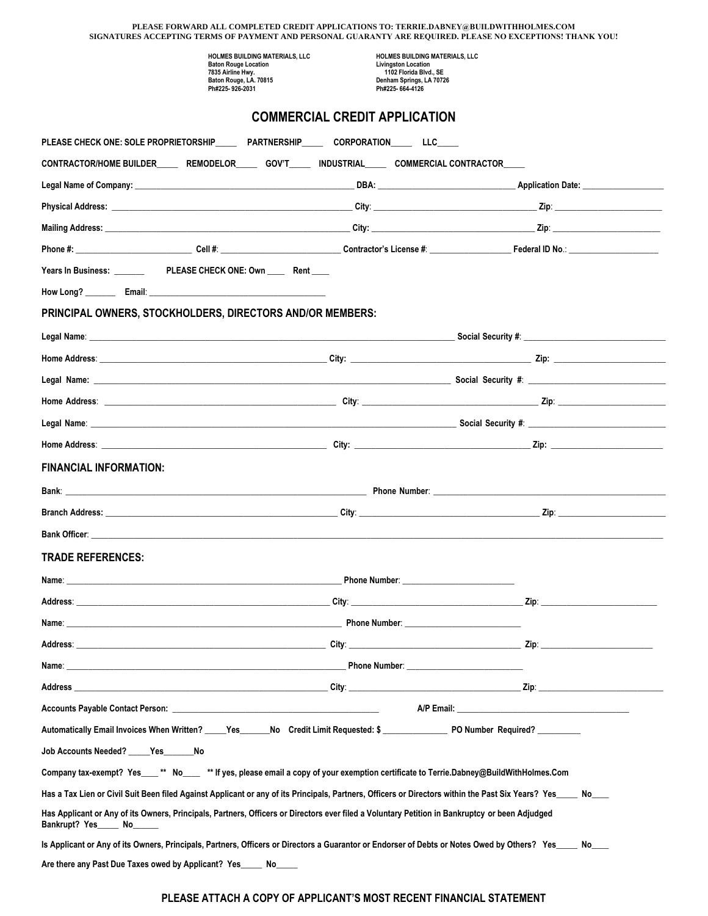| PLEASE FORWARD ALL COMPLETED CREDIT APPLICATIONS TO: TERRIE.DABNEY@BUILDWITHHOLMES.COM<br>SIGNATURES ACCEPTING TERMS OF PAYMENT AND PERSONAL GUARANTY ARE REQUIRED. PLEASE NO EXCEPTIONS! THANK YOU!                                 |                                                                                                                                                                                                                                     |  |  |  |  |
|--------------------------------------------------------------------------------------------------------------------------------------------------------------------------------------------------------------------------------------|-------------------------------------------------------------------------------------------------------------------------------------------------------------------------------------------------------------------------------------|--|--|--|--|
| HOLMES BUILDING MATERIALS, LLC                                                                                                                                                                                                       | HOLMES BUILDING MATERIALS, LLC                                                                                                                                                                                                      |  |  |  |  |
| <b>Baton Rouge Location</b><br>7835 Airline Hwy.<br>Baton Rouge, LA. 70815                                                                                                                                                           | <b>Livingston Location</b><br>1102 Florida Blvd., SE<br>Denham Springs, LA 70726                                                                                                                                                    |  |  |  |  |
| Ph#225-926-2031                                                                                                                                                                                                                      | Ph#225-664-4126                                                                                                                                                                                                                     |  |  |  |  |
| <b>COMMERCIAL CREDIT APPLICATION</b>                                                                                                                                                                                                 |                                                                                                                                                                                                                                     |  |  |  |  |
| PLEASE CHECK ONE: SOLE PROPRIETORSHIP______ PARTNERSHIP_____ CORPORATION_____ LLC_____                                                                                                                                               |                                                                                                                                                                                                                                     |  |  |  |  |
| CONTRACTOR/HOME BUILDER______ REMODELOR______ GOV'T______ INDUSTRIAL______ COMMERCIAL CONTRACTOR____                                                                                                                                 |                                                                                                                                                                                                                                     |  |  |  |  |
| Legal Name of Company: <u>Company: Company: Company: Company: Company: Company: Company: Company: Company: Company: Company: Company: Company: Company: Company: Company: Company: Company: Company: Company: Company: Company: </u> |                                                                                                                                                                                                                                     |  |  |  |  |
|                                                                                                                                                                                                                                      |                                                                                                                                                                                                                                     |  |  |  |  |
|                                                                                                                                                                                                                                      |                                                                                                                                                                                                                                     |  |  |  |  |
|                                                                                                                                                                                                                                      |                                                                                                                                                                                                                                     |  |  |  |  |
|                                                                                                                                                                                                                                      |                                                                                                                                                                                                                                     |  |  |  |  |
|                                                                                                                                                                                                                                      |                                                                                                                                                                                                                                     |  |  |  |  |
| PRINCIPAL OWNERS, STOCKHOLDERS, DIRECTORS AND/OR MEMBERS:                                                                                                                                                                            |                                                                                                                                                                                                                                     |  |  |  |  |
|                                                                                                                                                                                                                                      |                                                                                                                                                                                                                                     |  |  |  |  |
|                                                                                                                                                                                                                                      |                                                                                                                                                                                                                                     |  |  |  |  |
|                                                                                                                                                                                                                                      |                                                                                                                                                                                                                                     |  |  |  |  |
|                                                                                                                                                                                                                                      |                                                                                                                                                                                                                                     |  |  |  |  |
|                                                                                                                                                                                                                                      |                                                                                                                                                                                                                                     |  |  |  |  |
|                                                                                                                                                                                                                                      |                                                                                                                                                                                                                                     |  |  |  |  |
| <b>FINANCIAL INFORMATION:</b>                                                                                                                                                                                                        |                                                                                                                                                                                                                                     |  |  |  |  |
|                                                                                                                                                                                                                                      |                                                                                                                                                                                                                                     |  |  |  |  |
| <b>Branch Address:</b> <u>Contract Communication</u> and Communication and Communication and Communication                                                                                                                           |                                                                                                                                                                                                                                     |  |  |  |  |
| <b>Bank Officer:</b>                                                                                                                                                                                                                 |                                                                                                                                                                                                                                     |  |  |  |  |
| <b>TRADE REFERENCES:</b>                                                                                                                                                                                                             |                                                                                                                                                                                                                                     |  |  |  |  |
|                                                                                                                                                                                                                                      | Phone Number: National Phone Number:                                                                                                                                                                                                |  |  |  |  |
|                                                                                                                                                                                                                                      |                                                                                                                                                                                                                                     |  |  |  |  |
|                                                                                                                                                                                                                                      |                                                                                                                                                                                                                                     |  |  |  |  |
|                                                                                                                                                                                                                                      |                                                                                                                                                                                                                                     |  |  |  |  |
|                                                                                                                                                                                                                                      | <b>Phone Number:</b> The Contract of the Contract of the Contract of the Contract of the Contract of the Contract of the Contract of the Contract of the Contract of the Contract of the Contract of the Contract of the Contract o |  |  |  |  |
|                                                                                                                                                                                                                                      |                                                                                                                                                                                                                                     |  |  |  |  |
|                                                                                                                                                                                                                                      |                                                                                                                                                                                                                                     |  |  |  |  |
| Automatically Email Invoices When Written? _____Yes______No Credit Limit Requested: \$ ______________ PO Number Required? _________                                                                                                  |                                                                                                                                                                                                                                     |  |  |  |  |
| Job Accounts Needed? Yes No                                                                                                                                                                                                          |                                                                                                                                                                                                                                     |  |  |  |  |
| Company tax-exempt? Yes___** No___ ** If yes, please email a copy of your exemption certificate to Terrie.Dabney@BuildWithHolmes.Com                                                                                                 |                                                                                                                                                                                                                                     |  |  |  |  |
| Has a Tax Lien or Civil Suit Been filed Against Applicant or any of its Principals, Partners, Officers or Directors within the Past Six Years? Yes____ No___                                                                         |                                                                                                                                                                                                                                     |  |  |  |  |
| Has Applicant or Any of its Owners, Principals, Partners, Officers or Directors ever filed a Voluntary Petition in Bankruptcy or been Adjudged<br>Bankrupt? Yes_____ No_                                                             |                                                                                                                                                                                                                                     |  |  |  |  |
| Is Applicant or Any of its Owners, Principals, Partners, Officers or Directors a Guarantor or Endorser of Debts or Notes Owed by Others? Yes____ No___                                                                               |                                                                                                                                                                                                                                     |  |  |  |  |
| Are there any Past Due Taxes owed by Applicant? Yes No                                                                                                                                                                               |                                                                                                                                                                                                                                     |  |  |  |  |

## **PLEASE ATTACH A COPY OF APPLICANT'S MOST RECENT FINANCIAL STATEMENT**